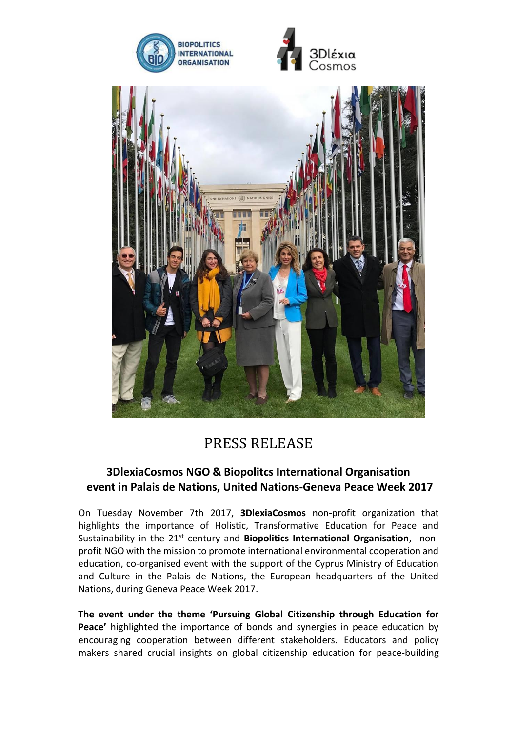





## PRESS RELEASE

## **3DlexiaCosmos NGO & Biopolitcs International Organisation event in Palais de Nations, United Nations-Geneva Peace Week 2017**

On Tuesday November 7th 2017, **3DlexiaCosmos** non-profit organization that highlights the importance of Holistic, Transformative Education for Peace and Sustainability in the 21st century and **Biopolitics International Organisation**, nonprofit NGO with the mission to promote international environmental cooperation and education, co-organised event with the support of the Cyprus Ministry of Education and Culture in the Palais de Nations, the European headquarters of the United Nations, during Geneva Peace Week 2017.

**The event under the theme 'Pursuing Global Citizenship through Education for Peace'** highlighted the importance of bonds and synergies in peace education by encouraging cooperation between different stakeholders. Educators and policy makers shared crucial insights on global citizenship education for peace-building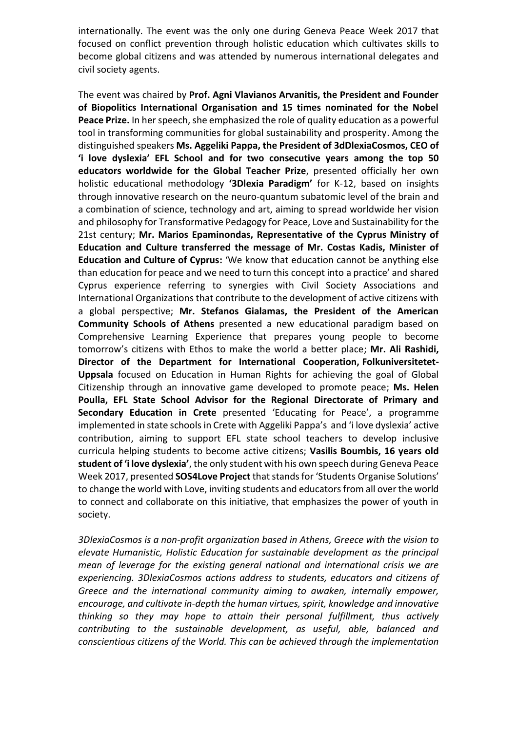internationally. The event was the only one during Geneva Peace Week 2017 that focused on conflict prevention through holistic education which cultivates skills to become global citizens and was attended by numerous international delegates and civil society agents.

The event was chaired by **Prof. Agni Vlavianos Arvanitis, the President and Founder of Biopolitics International Organisation and 15 times nominated for the Nobel Peace Prize.** In her speech, she emphasized the role of quality education as a powerful tool in transforming communities for global sustainability and prosperity. Among the distinguished speakers **Ms. Aggeliki Pappa, the President of 3dDlexiaCosmos, CEO of 'i love dyslexia' EFL School and for two consecutive years among the top 50 educators worldwide for the Global Teacher Prize**, presented officially her own holistic educational methodology **'3Dlexia Paradigm'** for K-12, based on insights through innovative research on the neuro-quantum subatomic level of the brain and a combination of science, technology and art, aiming to spread worldwide her vision and philosophy for Transformative Pedagogy for Peace, Love and Sustainability for the 21st century; **Mr. Marios Epaminondas, Representative of the Cyprus Ministry of Education and Culture transferred the message of Mr. Costas Kadis, Minister of Education and Culture of Cyprus:** 'We know that education cannot be anything else than education for peace and we need to turn this concept into a practice' and shared Cyprus experience referring to synergies with Civil Society Associations and International Organizations that contribute to the development of active citizens with a global perspective; **Mr. Stefanos Gialamas, the President of the American Community Schools of Athens** presented a new educational paradigm based on Comprehensive Learning Experience that prepares young people to become tomorrow's citizens with Ethos to make the world a better place; **Mr. Ali Rashidi, Director of the Department for International Cooperation, Folkuniversitetet-Uppsala** focused on Education in Human Rights for achieving the goal of Global Citizenship through an innovative game developed to promote peace; **Ms. Helen Poulla, EFL State School Advisor for the Regional Directorate of Primary and Secondary Education in Crete** presented 'Educating for Peace', a programme implemented in state schoolsin Crete with Aggeliki Pappa's and 'i love dyslexia' active contribution, aiming to support EFL state school teachers to develop inclusive curricula helping students to become active citizens; **Vasilis Boumbis, 16 years old student of 'i love dyslexia'**, the only student with his own speech during Geneva Peace Week 2017, presented **SOS4Love Project** that stands for 'Students Organise Solutions' to change the world with Love, inviting students and educators from all over the world to connect and collaborate on this initiative, that emphasizes the power of youth in society.

*3DlexiaCosmos is a non-profit organization based in Athens, Greece with the vision to elevate Humanistic, Holistic Education for sustainable development as the principal mean of leverage for the existing general national and international crisis we are experiencing. 3DlexiaCosmos actions address to students, educators and citizens of Greece and the international community aiming to awaken, internally empower, encourage, and cultivate in-depth the human virtues, spirit, knowledge and innovative thinking so they may hope to attain their personal fulfillment, thus actively contributing to the sustainable development, as useful, able, balanced and conscientious citizens of the World. This can be achieved through the implementation*